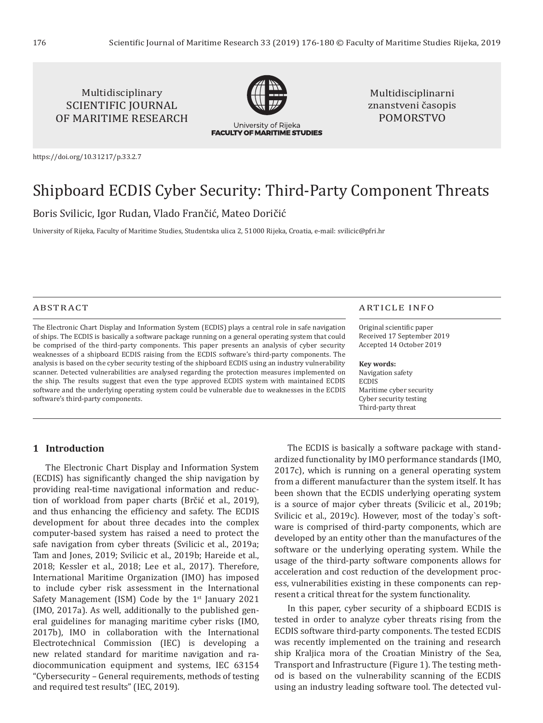

University of Rijeka **FACULTY OF MARITIME STUDIES** 

Multidisciplinarni znanstveni časopis POMORSTVO

<https://doi.org/10.31217/p.33.2.7>

Multidisciplinary SCIENTIFIC JOURNAL OF MARITIME RESEARCH

# Shipboard ECDIS Cyber Security: Third-Party Component Threats

Boris Svilicic, Igor Rudan, Vlado Frančić, Mateo Doričić

University of Rijeka, Faculty of Maritime Studies, Studentska ulica 2, 51000 Rijeka, Croatia, e-mail: svilicic@pfri.hr

#### ABSTRACT

The Electronic Chart Display and Information System (ECDIS) plays a central role in safe navigation of ships. The ECDIS is basically a software package running on a general operating system that could be comprised of the third-party components. This paper presents an analysis of cyber security weaknesses of a shipboard ECDIS raising from the ECDIS software's third-party components. The analysis is based on the cyber security testing of the shipboard ECDIS using an industry vulnerability scanner. Detected vulnerabilities are analysed regarding the protection measures implemented on the ship. The results suggest that even the type approved ECDIS system with maintained ECDIS software and the underlying operating system could be vulnerable due to weaknesses in the ECDIS software's third-party components.

#### ARTICLE INFO

Original scientific paper Received 17 September 2019 Accepted 14 October 2019

**Key words:**

Navigation safety ECDIS Maritime cyber security Cyber security testing Third-party threat

### **1 Introduction**

The Electronic Chart Display and Information System (ECDIS) has significantly changed the ship navigation by providing real-time navigational information and reduction of workload from paper charts (Brčić et al., 2019), and thus enhancing the efficiency and safety. The ECDIS development for about three decades into the complex computer-based system has raised a need to protect the safe navigation from cyber threats (Svilicic et al., 2019a; Tam and Jones, 2019; Svilicic et al., 2019b; Hareide et al., 2018; Kessler et al., 2018; Lee et al., 2017). Therefore, International Maritime Organization (IMO) has imposed to include cyber risk assessment in the International Safety Management (ISM) Code by the  $1<sup>st</sup>$  January 2021 (IMO, 2017a). As well, additionally to the published general guidelines for managing maritime cyber risks (IMO, 2017b), IMO in collaboration with the International Electrotechnical Commission (IEC) is developing a new related standard for maritime navigation and radiocommunication equipment and systems, IEC 63154 "Cybersecurity – General requirements, methods of testing and required test results" (IEC, 2019).

The ECDIS is basically a software package with standardized functionality by IMO performance standards (IMO, 2017c), which is running on a general operating system from a different manufacturer than the system itself. It has been shown that the ECDIS underlying operating system is a source of major cyber threats (Svilicic et al., 2019b; Svilicic et al., 2019c). However, most of the today`s software is comprised of third-party components, which are developed by an entity other than the manufactures of the software or the underlying operating system. While the usage of the third-party software components allows for acceleration and cost reduction of the development process, vulnerabilities existing in these components can represent a critical threat for the system functionality.

In this paper, cyber security of a shipboard ECDIS is tested in order to analyze cyber threats rising from the ECDIS software third-party components. The tested ECDIS was recently implemented on the training and research ship Kraljica mora of the Croatian Ministry of the Sea, Transport and Infrastructure (Figure 1). The testing method is based on the vulnerability scanning of the ECDIS using an industry leading software tool. The detected vul-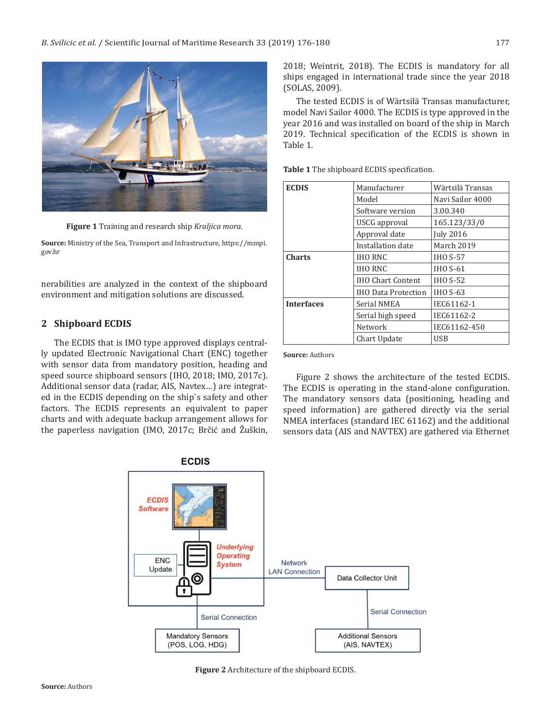

**Figure 1** Training and research ship *Kraljica mora*.

**Source:** Ministry of the Sea, Transport and Infrastructure, https://mmpi. gov.hr

nerabilities are analyzed in the context of the shipboard environment and mitigation solutions are discussed.

# **2 Shipboard ECDIS**

The ECDIS that is IMO type approved displays centrally updated Electronic Navigational Chart (ENC) together with sensor data from mandatory position, heading and speed source shipboard sensors (IHO, 2018; IMO, 2017c). Additional sensor data (radar, AIS, Navtex…) are integrated in the ECDIS depending on the ship`s safety and other factors. The ECDIS represents an equivalent to paper charts and with adequate backup arrangement allows for the paperless navigation (IMO, 2017c; Brčić and Žuškin,

2018; Weintrit, 2018). The ECDIS is mandatory for all ships engaged in international trade since the year 2018 (SOLAS, 2009).

The tested ECDIS is of Wärtsilä Transas manufacturer, model Navi Sailor 4000. The ECDIS is type approved in the year 2016 and was installed on board of the ship in March 2019. Technical specification of the ECDIS is shown in Table 1.

| <b>ECDIS</b>      | Manufacturer               | Wärtsilä Transas |
|-------------------|----------------------------|------------------|
|                   | Model                      | Navi Sailor 4000 |
|                   | Software version           | 3.00.340         |
|                   | <b>USCG</b> approval       | 165.123/33/0     |
|                   | Approval date              | <b>July 2016</b> |
|                   | Installation date          | March 2019       |
| <b>Charts</b>     | <b>IHO RNC</b>             | <b>IHO S-57</b>  |
|                   | <b>IHO RNC</b>             | <b>IHO S-61</b>  |
|                   | <b>IHO Chart Content</b>   | <b>IHO S-52</b>  |
|                   | <b>IHO Data Protection</b> | <b>IHO S-63</b>  |
| <b>Interfaces</b> | Serial NMEA                | IEC61162-1       |
|                   | Serial high speed          | IEC61162-2       |
|                   | Network                    | IEC61162-450     |
|                   | Chart Update               | <b>USB</b>       |

**Table 1** The shipboard ECDIS specification.

#### **Source:** Authors

Figure 2 shows the architecture of the tested ECDIS. The ECDIS is operating in the stand-alone configuration. The mandatory sensors data (positioning, heading and speed information) are gathered directly via the serial NMEA interfaces (standard IEC 61162) and the additional sensors data (AIS and NAVTEX) are gathered via Ethernet



**Figure 2** Architecture of the shipboard ECDIS.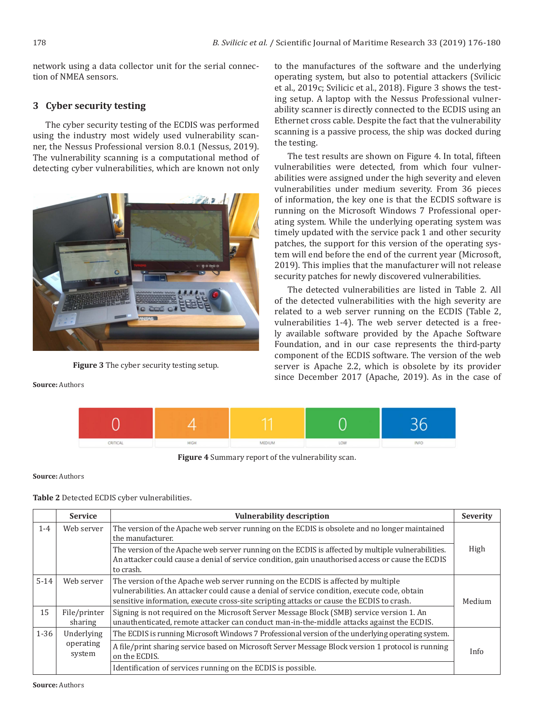network using a data collector unit for the serial connection of NMEA sensors.

# **3 Cyber security testing**

The cyber security testing of the ECDIS was performed using the industry most widely used vulnerability scanner, the Nessus Professional version 8.0.1 (Nessus, 2019). The vulnerability scanning is a computational method of detecting cyber vulnerabilities, which are known not only



**Figure 3** The cyber security testing setup.

**Source:** Authors

to the manufactures of the software and the underlying operating system, but also to potential attackers (Svilicic et al., 2019c; Svilicic et al., 2018). Figure 3 shows the testing setup. A laptop with the Nessus Professional vulnerability scanner is directly connected to the ECDIS using an Ethernet cross cable. Despite the fact that the vulnerability scanning is a passive process, the ship was docked during the testing.

The test results are shown on Figure 4. In total, fifteen vulnerabilities were detected, from which four vulnerabilities were assigned under the high severity and eleven vulnerabilities under medium severity. From 36 pieces of information, the key one is that the ECDIS software is running on the Microsoft Windows 7 Professional operating system. While the underlying operating system was timely updated with the service pack 1 and other security patches, the support for this version of the operating system will end before the end of the current year (Microsoft, 2019). This implies that the manufacturer will not release security patches for newly discovered vulnerabilities.

The detected vulnerabilities are listed in Table 2. All of the detected vulnerabilities with the high severity are related to a web server running on the ECDIS (Table 2, vulnerabilities 1-4). The web server detected is a freely available software provided by the Apache Software Foundation, and in our case represents the third-party component of the ECDIS software. The version of the web server is Apache 2.2, which is obsolete by its provider since December 2017 (Apache, 2019). As in the case of



**Figure 4** Summary report of the vulnerability scan.

### **Source:** Authors

## **Table 2** Detected ECDIS cyber vulnerabilities.

|          | <b>Service</b>          | <b>Vulnerability description</b>                                                                                                                                                                                                                                              | <b>Severity</b> |  |
|----------|-------------------------|-------------------------------------------------------------------------------------------------------------------------------------------------------------------------------------------------------------------------------------------------------------------------------|-----------------|--|
| $1 - 4$  | Web server              | The version of the Apache web server running on the ECDIS is obsolete and no longer maintained<br>the manufacturer.                                                                                                                                                           |                 |  |
|          |                         | The version of the Apache web server running on the ECDIS is affected by multiple vulnerabilities.<br>An attacker could cause a denial of service condition, gain unauthorised access or cause the ECDIS<br>to crash.                                                         | High            |  |
| $5 - 14$ | Web server              | The version of the Apache web server running on the ECDIS is affected by multiple<br>vulnerabilities. An attacker could cause a denial of service condition, execute code, obtain<br>sensitive information, execute cross-site scripting attacks or cause the ECDIS to crash. | Medium          |  |
| 15       | File/printer<br>sharing | Signing is not required on the Microsoft Server Message Block (SMB) service version 1. An<br>unauthenticated, remote attacker can conduct man-in-the-middle attacks against the ECDIS.                                                                                        |                 |  |
| $1 - 36$ | Underlying              | The ECDIS is running Microsoft Windows 7 Professional version of the underlying operating system.                                                                                                                                                                             |                 |  |
|          | operating<br>system     | A file/print sharing service based on Microsoft Server Message Block version 1 protocol is running<br>on the ECDIS.                                                                                                                                                           | Info            |  |
|          |                         | Identification of services running on the ECDIS is possible.                                                                                                                                                                                                                  |                 |  |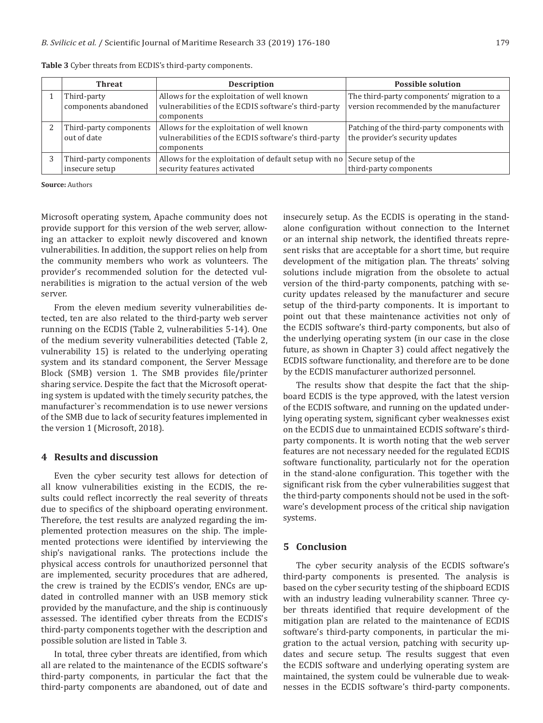| <b>Threat</b>                            | <b>Description</b>                                                                                             | <b>Possible solution</b>                                                              |
|------------------------------------------|----------------------------------------------------------------------------------------------------------------|---------------------------------------------------------------------------------------|
| Third-party<br>components abandoned      | Allows for the exploitation of well known<br>vulnerabilities of the ECDIS software's third-party<br>components | The third-party components' migration to a<br>version recommended by the manufacturer |
| Third-party components<br>out of date    | Allows for the exploitation of well known<br>vulnerabilities of the ECDIS software's third-party<br>components | Patching of the third-party components with<br>the provider's security updates        |
| Third-party components<br>insecure setup | Allows for the exploitation of default setup with no<br>security features activated                            | Secure setup of the<br>third-party components                                         |

**Table 3** Cyber threats from ECDIS's third-party components.

**Source:** Authors

Microsoft operating system, Apache community does not provide support for this version of the web server, allowing an attacker to exploit newly discovered and known vulnerabilities. In addition, the support relies on help from the community members who work as volunteers. The provider's recommended solution for the detected vulnerabilities is migration to the actual version of the web server.

From the eleven medium severity vulnerabilities detected, ten are also related to the third-party web server running on the ECDIS (Table 2, vulnerabilities 5-14). One of the medium severity vulnerabilities detected (Table 2, vulnerability 15) is related to the underlying operating system and its standard component, the Server Message Block (SMB) version 1. The SMB provides file/printer sharing service. Despite the fact that the Microsoft operating system is updated with the timely security patches, the manufacturer`s recommendation is to use newer versions of the SMB due to lack of security features implemented in the version 1 (Microsoft, 2018).

# **4 Results and discussion**

Even the cyber security test allows for detection of all know vulnerabilities existing in the ECDIS, the results could reflect incorrectly the real severity of threats due to specifics of the shipboard operating environment. Therefore, the test results are analyzed regarding the implemented protection measures on the ship. The implemented protections were identified by interviewing the ship's navigational ranks. The protections include the physical access controls for unauthorized personnel that are implemented, security procedures that are adhered, the crew is trained by the ECDIS's vendor, ENCs are updated in controlled manner with an USB memory stick provided by the manufacture, and the ship is continuously assessed. The identified cyber threats from the ECDIS's third-party components together with the description and possible solution are listed in Table 3.

In total, three cyber threats are identified, from which all are related to the maintenance of the ECDIS software's third-party components, in particular the fact that the third-party components are abandoned, out of date and insecurely setup. As the ECDIS is operating in the standalone configuration without connection to the Internet or an internal ship network, the identified threats represent risks that are acceptable for a short time, but require development of the mitigation plan. The threats' solving solutions include migration from the obsolete to actual version of the third-party components, patching with security updates released by the manufacturer and secure setup of the third-party components. It is important to point out that these maintenance activities not only of the ECDIS software's third-party components, but also of the underlying operating system (in our case in the close future, as shown in Chapter 3) could affect negatively the ECDIS software functionality, and therefore are to be done by the ECDIS manufacturer authorized personnel.

The results show that despite the fact that the shipboard ECDIS is the type approved, with the latest version of the ECDIS software, and running on the updated underlying operating system, significant cyber weaknesses exist on the ECDIS due to unmaintained ECDIS software's thirdparty components. It is worth noting that the web server features are not necessary needed for the regulated ECDIS software functionality, particularly not for the operation in the stand-alone configuration. This together with the significant risk from the cyber vulnerabilities suggest that the third-party components should not be used in the software's development process of the critical ship navigation systems.

### **5 Conclusion**

The cyber security analysis of the ECDIS software's third-party components is presented. The analysis is based on the cyber security testing of the shipboard ECDIS with an industry leading vulnerability scanner. Three cyber threats identified that require development of the mitigation plan are related to the maintenance of ECDIS software's third-party components, in particular the migration to the actual version, patching with security updates and secure setup. The results suggest that even the ECDIS software and underlying operating system are maintained, the system could be vulnerable due to weaknesses in the ECDIS software's third-party components.